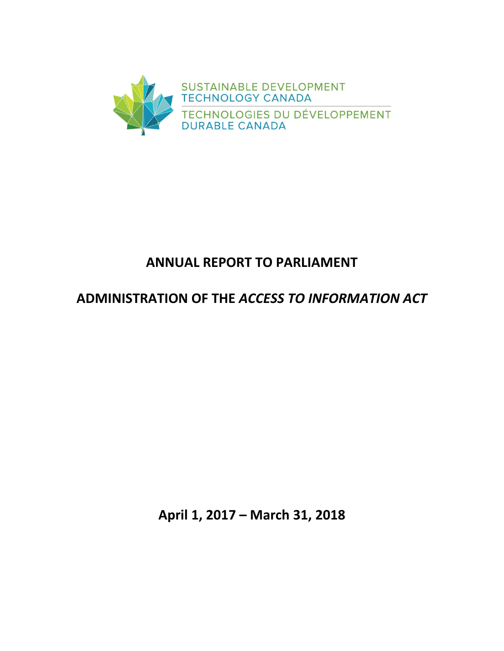

# **ANNUAL REPORT TO PARLIAMENT**

# **ADMINISTRATION OF THE** *ACCESS TO INFORMATION ACT*

**April 1, 2017 – March 31, 2018**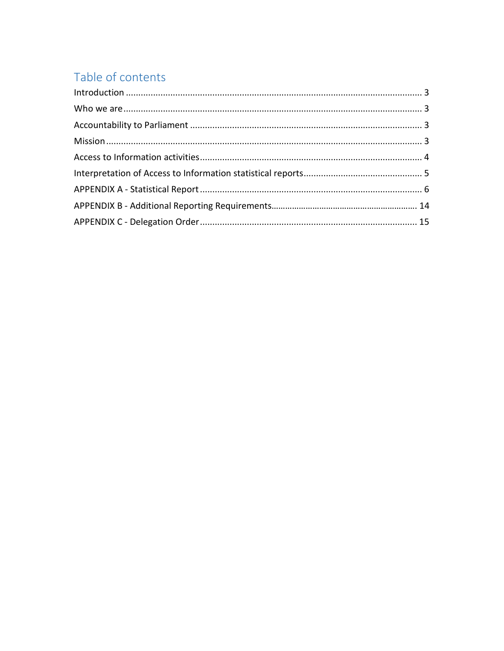# Table of contents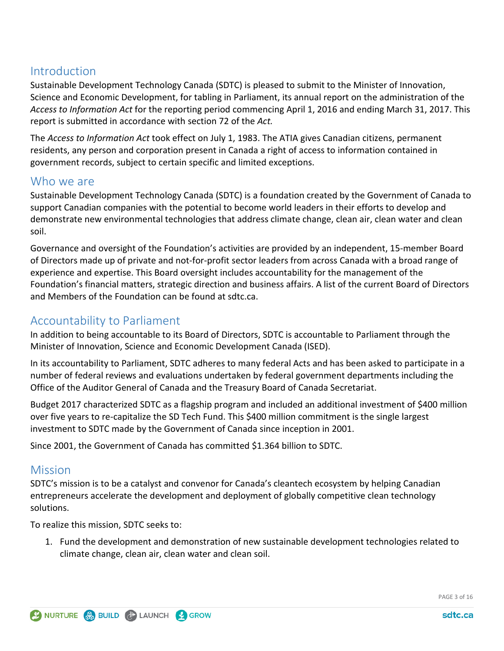# <span id="page-2-0"></span>**Introduction**

Sustainable Development Technology Canada (SDTC) is pleased to submit to the Minister of Innovation, Science and Economic Development, for tabling in Parliament, its annual report on the administration of the *Access to Information Act* for the reporting period commencing April 1, 2016 and ending March 31, 2017. This report is submitted in accordance with section 72 of the *Act.*

The *Access to Information Act* took effect on July 1, 1983. The ATIA gives Canadian citizens, permanent residents, any person and corporation present in Canada a right of access to information contained in government records, subject to certain specific and limited exceptions.

# <span id="page-2-1"></span>Who we are

Sustainable Development Technology Canada (SDTC) is a foundation created by the Government of Canada to support Canadian companies with the potential to become world leaders in their efforts to develop and demonstrate new environmental technologies that address climate change, clean air, clean water and clean soil.

Governance and oversight of the Foundation's activities are provided by an independent, 15-member Board of Directors made up of private and not-for-profit sector leaders from across Canada with a broad range of experience and expertise. This Board oversight includes accountability for the management of the Foundation's financial matters, strategic direction and business affairs. A list of the current Board of Directors and Members of the Foundation can be found [at](https://www.sdtc.ca/en/about-sdtc/team/board-committees) sdtc.ca.

# <span id="page-2-2"></span>Accountability to Parliament

In addition to being accountable to its Board of Directors, SDTC is accountable to Parliament through the Minister of Innovation, Science and Economic Development Canada (ISED).

In its accountability to Parliament, SDTC adheres to many federal Acts and has been asked to participate in a number of federal reviews and evaluations undertaken by federal government departments including the Office of the Auditor General of Canada and the Treasury Board of Canada Secretariat.

Budget 2017 characterized SDTC as a flagship program and included an additional investment of \$400 million over five years to re-capitalize the SD Tech Fund. This \$400 million commitment is the single largest investment to SDTC made by the Government of Canada since inception in 2001.

Since 2001, the Government of Canada has committed \$1.364 billion to SDTC.

# <span id="page-2-3"></span>**Mission**

SDTC's mission is to be a catalyst and convenor for Canada's cleantech ecosystem by helping Canadian entrepreneurs accelerate the development and deployment of globally competitive clean technology solutions.

To realize this mission, SDTC seeks to:

1. Fund the development and demonstration of new sustainable development technologies related to climate change, clean air, clean water and clean soil.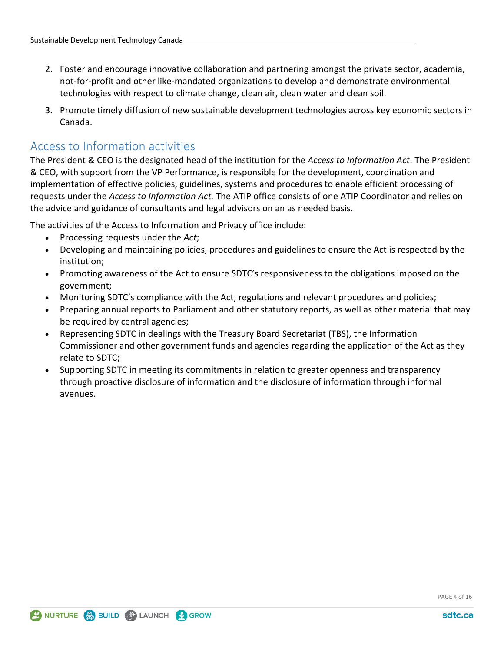- 2. Foster and encourage innovative collaboration and partnering amongst the private sector, academia, not-for-profit and other like-mandated organizations to develop and demonstrate environmental technologies with respect to climate change, clean air, clean water and clean soil.
- 3. Promote timely diffusion of new sustainable development technologies across key economic sectors in Canada.

# <span id="page-3-0"></span>Access to Information activities

The President & CEO is the designated head of the institution for the *Access to Information Act*. The President & CEO, with support from the VP Performance, is responsible for the development, coordination and implementation of effective policies, guidelines, systems and procedures to enable efficient processing of requests under the *Access to Information Act.* The ATIP office consists of one ATIP Coordinator and relies on the advice and guidance of consultants and legal advisors on an as needed basis.

The activities of the Access to Information and Privacy office include:

- Processing requests under the *Act*;
- Developing and maintaining policies, procedures and guidelines to ensure the Act is respected by the institution;
- Promoting awareness of the Act to ensure SDTC's responsiveness to the obligations imposed on the government;
- Monitoring SDTC's compliance with the Act, regulations and relevant procedures and policies;
- Preparing annual reports to Parliament and other statutory reports, as well as other material that may be required by central agencies;
- Representing SDTC in dealings with the Treasury Board Secretariat (TBS), the Information Commissioner and other government funds and agencies regarding the application of the Act as they relate to SDTC;
- <span id="page-3-1"></span>• Supporting SDTC in meeting its commitments in relation to greater openness and transparency through proactive disclosure of information and the disclosure of information through informal avenues.

PAGE 4 of 16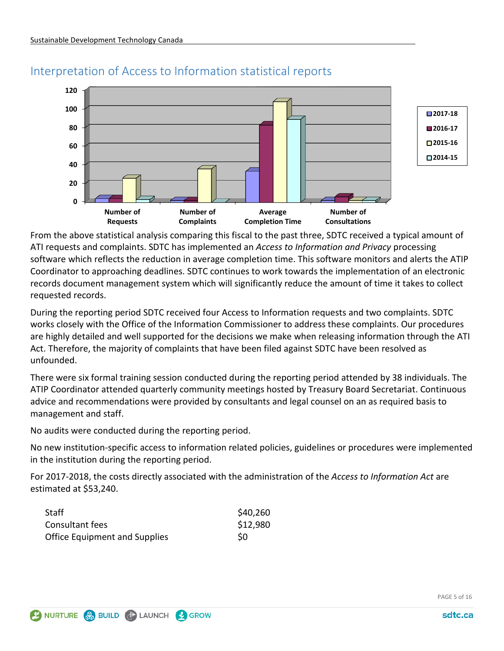

# Interpretation of Access to Information statistical reports

From the above statistical analysis comparing this fiscal to the past three, SDTC received a typical amount of ATI requests and complaints. SDTC has implemented an *Access to Information and Privacy* processing software which reflects the reduction in average completion time. This software monitors and alerts the ATIP Coordinator to approaching deadlines. SDTC continues to work towards the implementation of an electronic records document management system which will significantly reduce the amount of time it takes to collect requested records.

During the reporting period SDTC received four Access to Information requests and two complaints. SDTC works closely with the Office of the Information Commissioner to address these complaints. Our procedures are highly detailed and well supported for the decisions we make when releasing information through the ATI Act. Therefore, the majority of complaints that have been filed against SDTC have been resolved as unfounded.

There were six formal training session conducted during the reporting period attended by 38 individuals. The ATIP Coordinator attended quarterly community meetings hosted by Treasury Board Secretariat. Continuous advice and recommendations were provided by consultants and legal counsel on an as required basis to management and staff.

No audits were conducted during the reporting period.

No new institution-specific access to information related policies, guidelines or procedures were implemented in the institution during the reporting period.

For 2017-2018, the costs directly associated with the administration of the *Access to Information Act* are estimated at \$53,240.

| Staff                                | \$40,260 |
|--------------------------------------|----------|
| Consultant fees                      | \$12,980 |
| <b>Office Equipment and Supplies</b> | S0       |

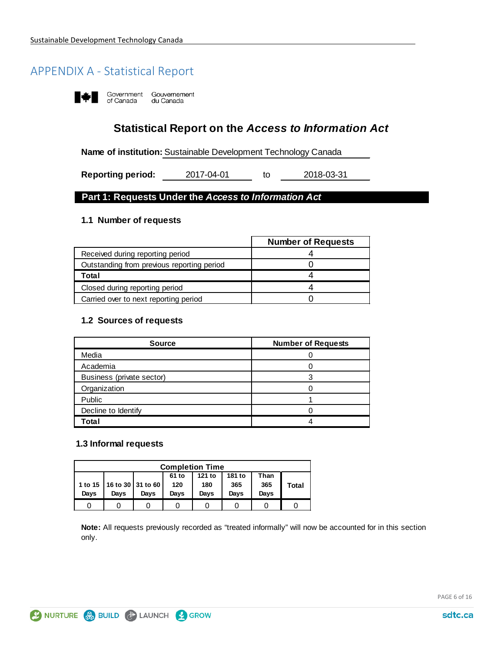# <span id="page-5-0"></span>APPENDIX A - Statistical Report

Government Gouvernement<br>of Canada du Canada I ¥I

**Statistical Report on the** *Access to Information Act*

**Name of institution:** Sustainable Development Technology Canada

to **Reporting period:** 2017-04-01 to 2018-03-31

#### **Part 1: Requests Under the** *Access to Information Act*

#### **1.1 Number of requests**

|                                            | <b>Number of Requests</b> |
|--------------------------------------------|---------------------------|
| Received during reporting period           |                           |
| Outstanding from previous reporting period |                           |
| Total                                      |                           |
| Closed during reporting period             |                           |
| Carried over to next reporting period      |                           |

#### **1.2 Sources of requests**

| <b>Source</b>             | <b>Number of Requests</b> |
|---------------------------|---------------------------|
| Media                     |                           |
| Academia                  |                           |
| Business (private sector) |                           |
| Organization              |                           |
| Public                    |                           |
| Decline to Identify       |                           |
| Total                     |                           |

#### **1.3 Informal requests**

| <b>Completion Time</b>            |      |                               |      |      |      |      |       |  |  |
|-----------------------------------|------|-------------------------------|------|------|------|------|-------|--|--|
| 121 to<br>181 to<br>61 to<br>Than |      |                               |      |      |      |      |       |  |  |
|                                   |      | 1 to 15   16 to 30   31 to 60 | 120  | 180  | 365  | 365  | Total |  |  |
| Days                              | Davs | Davs                          | Davs | Davs | Davs | Davs |       |  |  |
|                                   |      |                               |      |      |      |      |       |  |  |

**Note:** All requests previously recorded as "treated informally" will now be accounted for in this section only.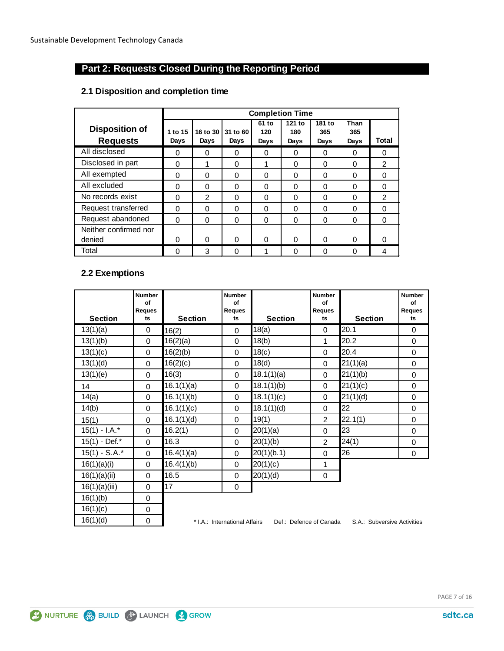### **Part 2: Requests Closed During the Reporting Period**

|                                          | <b>Completion Time</b> |          |                             |                      |                       |                       |                     |               |  |
|------------------------------------------|------------------------|----------|-----------------------------|----------------------|-----------------------|-----------------------|---------------------|---------------|--|
| <b>Disposition of</b><br><b>Requests</b> | 1 to 15<br>Days        | Days     | 16 to 30   31 to 60<br>Days | 61 to<br>120<br>Days | 121 to<br>180<br>Days | 181 to<br>365<br>Days | Than<br>365<br>Days | Total         |  |
| All disclosed                            | 0                      | 0        | 0                           | 0                    | 0                     | 0                     | 0                   | 0             |  |
| Disclosed in part                        | $\Omega$               | 1        | $\Omega$                    | 1                    | $\Omega$              | $\Omega$              | $\Omega$            | $\mathcal{P}$ |  |
| All exempted                             | 0                      | 0        | $\Omega$                    | 0                    | 0                     | 0                     | 0                   | 0             |  |
| All excluded                             | $\Omega$               | $\Omega$ | $\Omega$                    | $\Omega$             | $\Omega$              | 0                     | $\Omega$            | $\Omega$      |  |
| No records exist                         | $\Omega$               | 2        | $\Omega$                    | $\Omega$             | $\Omega$              | 0                     | $\Omega$            | 2             |  |
| Request transferred                      | 0                      | 0        | $\Omega$                    | $\Omega$             | $\Omega$              | $\Omega$              | 0                   | 0             |  |
| Request abandoned                        | $\Omega$               | $\Omega$ | 0                           | $\Omega$             | $\Omega$              | 0                     | $\Omega$            | $\Omega$      |  |
| Neither confirmed nor                    |                        |          |                             |                      |                       |                       |                     |               |  |
| denied                                   | 0                      | 0        | $\Omega$                    | 0                    | $\Omega$              | $\Omega$              | 0                   |               |  |
| Total                                    | $\Omega$               | 3        | 0                           | 4                    | $\Omega$              | $\Omega$              | 0                   | 4             |  |

#### **2.1 Disposition and completion time**

#### **2.2 Exemptions**

|                  | <b>Number</b><br>of<br><b>Reques</b> |                | <b>Number</b><br>of<br>Reques |                         | <b>Number</b><br>of<br><b>Reques</b> |                             | <b>Number</b><br>of<br><b>Reques</b> |
|------------------|--------------------------------------|----------------|-------------------------------|-------------------------|--------------------------------------|-----------------------------|--------------------------------------|
| <b>Section</b>   | ts                                   | <b>Section</b> | ts                            | <b>Section</b>          | ts                                   | <b>Section</b>              | ts                                   |
| 13(1)(a)         | $\mathbf 0$                          | 16(2)          | $\Omega$                      | 18(a)                   | $\Omega$                             | 20.1                        | $\Omega$                             |
| 13(1)(b)         | $\mathbf 0$                          | 16(2)(a)       | $\Omega$                      | 18(b)                   | 1                                    | 20.2                        | $\mathbf{0}$                         |
| 13(1)(c)         | $\mathbf 0$                          | 16(2)(b)       | 0                             | 18(c)                   | $\Omega$                             | 20.4                        | 0                                    |
| 13(1)(d)         | 0                                    | 16(2)(c)       | $\Omega$                      | 18(d)                   | $\Omega$                             | 21(1)(a)                    | 0                                    |
| 13(1)(e)         | 0                                    | 16(3)          | 0                             | 18.1(1)(a)              | $\Omega$                             | 21(1)(b)                    | $\mathbf 0$                          |
| 14               | $\mathbf 0$                          | 16.1(1)(a)     | 0                             | 18.1(1)(b)              | 0                                    | 21(1)(c)                    | 0                                    |
| 14(a)            | $\mathbf 0$                          | 16.1(1)(b)     | $\Omega$                      | 18.1(1)(c)              | 0                                    | 21(1)(d)                    | 0                                    |
| 14(b)            | $\mathbf 0$                          | 16.1(1)(c)     | 0                             | 18.1(1)(d)              | 0                                    | 22                          | 0                                    |
| 15(1)            | $\mathbf 0$                          | 16.1(1)(d)     | 0                             | 19(1)                   | 2                                    | 22.1(1)                     | 0                                    |
| $15(1) - I.A.^*$ | $\Omega$                             | 16.2(1)        | 0                             | 20(1)(a)                | $\Omega$                             | 23                          | 0                                    |
| 15(1) - Def.*    | $\Omega$                             | 16.3           | $\Omega$                      | 20(1)(b)                | 2                                    | 24(1)                       | 0                                    |
| $15(1) - S.A.^*$ | $\overline{0}$                       | 16.4(1)(a)     | $\Omega$                      | 20(1)(b.1)              | $\Omega$                             | 26                          | $\mathbf 0$                          |
| 16(1)(a)(i)      | $\Omega$                             | 16.4(1)(b)     | 0                             | 20(1)(c)                | 1                                    |                             |                                      |
| 16(1)(a)(ii)     | $\Omega$                             | 16.5           | 0                             | 20(1)(d)                | 0                                    |                             |                                      |
| 16(1)(a)(iii)    | $\Omega$                             | 17             | 0                             |                         |                                      |                             |                                      |
| 16(1)(b)         | $\mathbf 0$                          |                |                               |                         |                                      |                             |                                      |
| 16(1)(c)         | 0                                    |                |                               |                         |                                      |                             |                                      |
| 16(1)(d)         | $\boldsymbol{0}$                     |                | * I.A.: International Affairs | Def.: Defence of Canada |                                      | S.A.: Subversive Activities |                                      |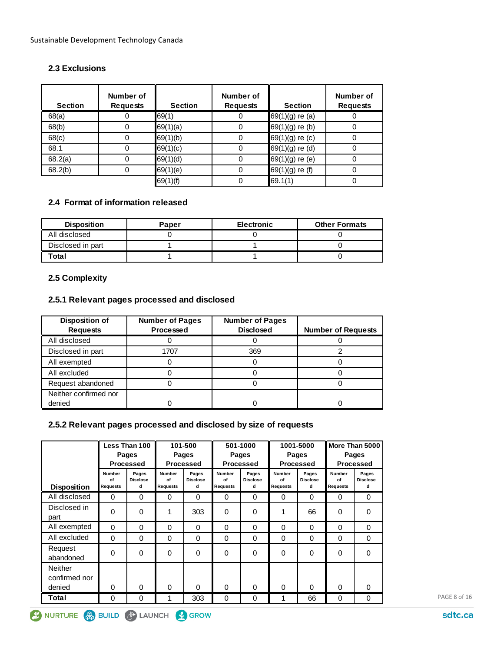#### **2.3 Exclusions**

| <b>Section</b> | Number of<br><b>Requests</b> | <b>Section</b> | Number of<br><b>Requests</b> | <b>Section</b>    | Number of<br><b>Requests</b> |
|----------------|------------------------------|----------------|------------------------------|-------------------|------------------------------|
| 68(a)          | 0                            | 69(1)          | 0                            | $69(1)(g)$ re (a) |                              |
| 68(b)          | 0                            | 69(1)(a)       | 0                            | 69(1)(g) re (b)   |                              |
| 68(c)          | 0                            | 69(1)(b)       | 0                            | 69(1)(g) re (c)   |                              |
| 68.1           | 0                            | 69(1)(c)       | 0                            | 69(1)(g) re (d)   |                              |
| 68.2(a)        | 0                            | 69(1)(d)       | 0                            | 69(1)(g) re (e)   |                              |
| 68.2(b)        | 0                            | 69(1)(e)       | 0                            | $69(1)(g)$ re (f) |                              |
|                |                              | 69(1)(f)       |                              | 69.1(1)           |                              |

#### **2.4 Format of information released**

| <b>Disposition</b> | Paper | <b>Electronic</b> | <b>Other Formats</b> |
|--------------------|-------|-------------------|----------------------|
| All disclosed      |       |                   |                      |
| Disclosed in part  |       |                   |                      |
| Total              |       |                   |                      |

#### **2.5 Complexity**

#### **2.5.1 Relevant pages processed and disclosed**

| Disposition of        | <b>Number of Pages</b> | <b>Number of Pages</b> |                           |
|-----------------------|------------------------|------------------------|---------------------------|
| <b>Requests</b>       | Processed              | <b>Disclosed</b>       | <b>Number of Requests</b> |
| All disclosed         |                        |                        |                           |
| Disclosed in part     | 1707                   | 369                    |                           |
| All exempted          |                        |                        |                           |
| All excluded          |                        |                        |                           |
| Request abandoned     |                        |                        |                           |
| Neither confirmed nor |                        |                        |                           |
| denied                |                        |                        |                           |

#### **2.5.2 Relevant pages processed and disclosed by size of requests**

|                                           |                                        | Less Than 100<br><b>Pages</b><br><b>Processed</b> |                                 | 101-500<br>Pages<br><b>Processed</b> | 501-1000<br>Pages<br>Processed         |                               | 1001-5000<br>Pages<br><b>Processed</b> |                               | More Than 5000<br>Pages<br><b>Processed</b> |                               |
|-------------------------------------------|----------------------------------------|---------------------------------------------------|---------------------------------|--------------------------------------|----------------------------------------|-------------------------------|----------------------------------------|-------------------------------|---------------------------------------------|-------------------------------|
| <b>Disposition</b>                        | <b>Number</b><br>of<br><b>Requests</b> | Pages<br><b>Disclose</b><br>d                     | <b>Number</b><br>of<br>Requests | Pages<br><b>Disclose</b><br>d        | <b>Number</b><br>of<br><b>Requests</b> | Pages<br><b>Disclose</b><br>d | <b>Number</b><br>of<br><b>Requests</b> | Pages<br><b>Disclose</b><br>d | <b>Number</b><br>of<br><b>Requests</b>      | Pages<br><b>Disclose</b><br>d |
| All disclosed                             | $\Omega$                               | $\Omega$                                          | $\Omega$                        | $\Omega$                             | $\Omega$                               | 0                             | $\Omega$                               | $\Omega$                      | $\Omega$                                    | $\Omega$                      |
| Disclosed in<br>part                      | $\Omega$                               | $\Omega$                                          | 1                               | 303                                  | 0                                      | 0                             | 1                                      | 66                            | $\Omega$                                    | $\Omega$                      |
| All exempted                              | $\Omega$                               | $\Omega$                                          | $\Omega$                        | $\Omega$                             | 0                                      | 0                             | $\Omega$                               | $\Omega$                      | $\Omega$                                    | $\Omega$                      |
| All excluded                              | $\Omega$                               | 0                                                 | $\Omega$                        | 0                                    | 0                                      | 0                             | 0                                      | 0                             | 0                                           | 0                             |
| Request<br>abandoned                      | $\Omega$                               | $\Omega$                                          | $\Omega$                        | 0                                    | $\Omega$                               | $\Omega$                      | $\Omega$                               | $\Omega$                      | 0                                           | $\Omega$                      |
| <b>Neither</b><br>confirmed nor<br>denied | $\Omega$                               | $\Omega$                                          | $\Omega$                        | $\Omega$                             | 0                                      | 0                             | $\Omega$                               | $\Omega$                      | $\Omega$                                    | $\Omega$                      |
| Total                                     | 0                                      | 0                                                 | 1                               | 303                                  | 0                                      | 0                             | 1                                      | 66                            | 0                                           | 0                             |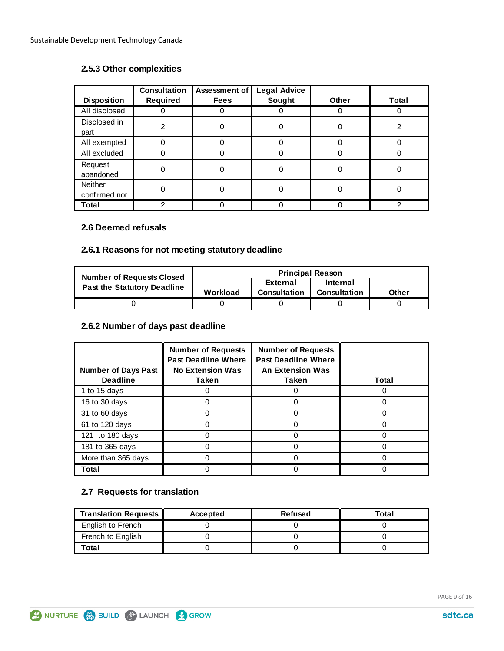#### **2.5.3 Other complexities**

| <b>Disposition</b>              | <b>Consultation</b><br>Required | Assessment of<br><b>Fees</b> | <b>Legal Advice</b><br>Sought | <b>Other</b> | Total |
|---------------------------------|---------------------------------|------------------------------|-------------------------------|--------------|-------|
| All disclosed                   | 0                               |                              |                               |              |       |
| Disclosed in<br>part            | 2                               |                              | 0                             | O            | 2     |
| All exempted                    | $\Omega$                        |                              | U                             | 0            |       |
| All excluded                    | 0                               |                              |                               |              |       |
| Request<br>abandoned            | 0                               |                              |                               |              |       |
| <b>Neither</b><br>confirmed nor | 0                               |                              |                               |              |       |
| Total                           | 2                               |                              |                               |              | 2     |

#### **2.6 Deemed refusals**

#### **2.6.1 Reasons for not meeting statutory deadline**

| <b>Number of Requests Closed</b>   |          | <b>Principal Reason</b> |                     |              |  |  |  |
|------------------------------------|----------|-------------------------|---------------------|--------------|--|--|--|
| <b>Past the Statutory Deadline</b> |          | External                | Internal            |              |  |  |  |
|                                    | Workload | Consultation            | <b>Consultation</b> | <b>Other</b> |  |  |  |
|                                    |          |                         |                     |              |  |  |  |

#### **2.6.2 Number of days past deadline**

| <b>Number of Days Past</b><br><b>Deadline</b> | <b>Number of Requests</b><br><b>Past Deadline Where</b><br><b>No Extension Was</b><br>Taken | <b>Number of Requests</b><br><b>Past Deadline Where</b><br><b>An Extension Was</b><br>Taken | Total |
|-----------------------------------------------|---------------------------------------------------------------------------------------------|---------------------------------------------------------------------------------------------|-------|
| 1 to 15 days                                  |                                                                                             |                                                                                             |       |
| 16 to 30 days                                 |                                                                                             | 0                                                                                           |       |
| 31 to 60 days                                 |                                                                                             | ი                                                                                           |       |
| 61 to 120 days                                |                                                                                             | O                                                                                           |       |
| 121 to 180 days                               |                                                                                             |                                                                                             |       |
| 181 to 365 days                               |                                                                                             | 0                                                                                           |       |
| More than 365 days                            |                                                                                             |                                                                                             |       |
| Total                                         |                                                                                             |                                                                                             |       |

#### **2.7 Requests for translation**

| <b>Translation Requests</b> | Accepted | Refused | Total |
|-----------------------------|----------|---------|-------|
| English to French           |          |         |       |
| French to English           |          |         |       |
| Total                       |          |         |       |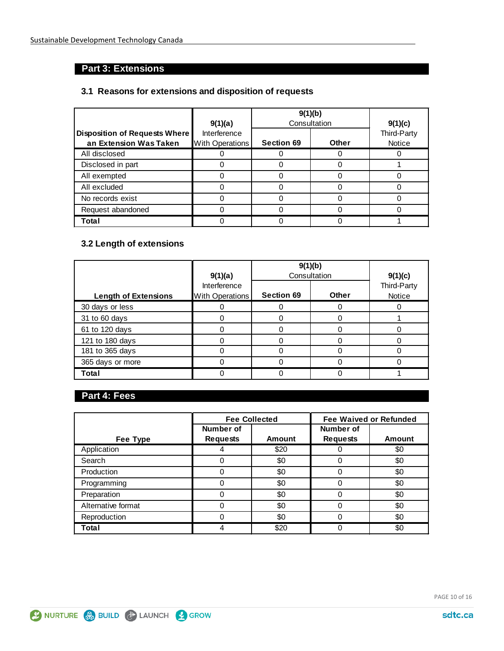### **Part 3: Extensions**

#### **3.1 Reasons for extensions and disposition of requests**

|                                                                | 9(1)(a)                                | 9(1)(b)<br>Consultation | 9(1)(c)      |                       |
|----------------------------------------------------------------|----------------------------------------|-------------------------|--------------|-----------------------|
| <b>Disposition of Requests Where</b><br>an Extension Was Taken | Interference<br><b>With Operations</b> | <b>Section 69</b>       | <b>Other</b> | Third-Party<br>Notice |
| All disclosed                                                  |                                        |                         |              |                       |
| Disclosed in part                                              |                                        |                         |              |                       |
| All exempted                                                   |                                        |                         |              |                       |
| All excluded                                                   |                                        |                         |              |                       |
| No records exist                                               |                                        |                         |              |                       |
| Request abandoned                                              |                                        |                         |              |                       |
| Total                                                          |                                        |                         |              |                       |

### **3.2 Length of extensions**

|                             |                                        | 9(1)(b)           |              |                       |
|-----------------------------|----------------------------------------|-------------------|--------------|-----------------------|
|                             | 9(1)(a)                                | Consultation      |              | 9(1)(c)               |
| <b>Length of Extensions</b> | Interference<br><b>With Operations</b> | <b>Section 69</b> | <b>Other</b> | Third-Party<br>Notice |
| 30 days or less             |                                        |                   |              |                       |
| 31 to 60 days               |                                        |                   |              |                       |
| 61 to 120 days              |                                        |                   |              |                       |
| 121 to 180 days             |                                        |                   |              |                       |
| 181 to 365 days             |                                        |                   |              |                       |
| 365 days or more            |                                        |                   |              |                       |
| Total                       |                                        |                   |              |                       |

### **Part 4: Fees**

|                    | <b>Fee Collected</b> |        | <b>Fee Waived or Refunded</b> |        |  |
|--------------------|----------------------|--------|-------------------------------|--------|--|
|                    | Number of            |        | Number of                     |        |  |
| Fee Type           | <b>Requests</b>      | Amount | <b>Requests</b>               | Amount |  |
| Application        |                      | \$20   |                               | \$0    |  |
| Search             |                      | \$0    | 0                             | \$0    |  |
| Production         |                      | \$0    |                               | \$0    |  |
| Programming        |                      | \$0    |                               | \$0    |  |
| Preparation        |                      | \$0    |                               | \$0    |  |
| Alternative format |                      | \$0    | 0                             | \$0    |  |
| Reproduction       |                      | \$0    |                               | \$0    |  |
| Total              |                      | \$20   |                               | \$0    |  |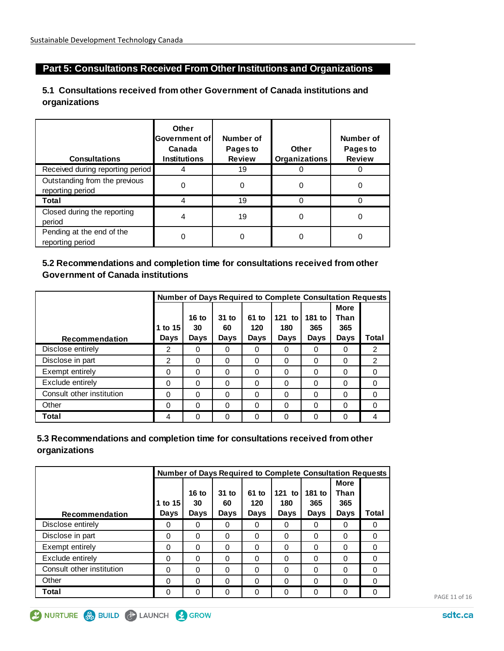### **Part 5: Consultations Received From Other Institutions and Organizations**

#### **5.1 Consultations received from other Government of Canada institutions and organizations**

| <b>Consultations</b>                              | <b>Other</b><br>Government of<br>Canada<br><b>Institutions</b> | Number of<br>Pages to<br><b>Review</b> | <b>Other</b><br><b>Organizations</b> | Number of<br>Pages to<br><b>Review</b> |
|---------------------------------------------------|----------------------------------------------------------------|----------------------------------------|--------------------------------------|----------------------------------------|
| Received during reporting period                  |                                                                | 19                                     |                                      |                                        |
| Outstanding from the previous<br>reporting period | 0                                                              | 0                                      | 0                                    | 0                                      |
| Total                                             |                                                                | 19                                     | 0                                    |                                        |
| Closed during the reporting<br>period             | 4                                                              | 19                                     | 0                                    | 0                                      |
| Pending at the end of the<br>reporting period     | 0                                                              |                                        | 0                                    |                                        |

#### **5.2 Recommendations and completion time for consultations received from other Government of Canada institutions**

|                           |          |          |          |          | <b>Number of Days Required to Complete Consultation Requests</b> |          |             |          |
|---------------------------|----------|----------|----------|----------|------------------------------------------------------------------|----------|-------------|----------|
|                           |          |          |          |          |                                                                  |          | <b>More</b> |          |
|                           |          | $16$ to  | $31$ to  | 61 to    | $121$ to                                                         | 181 to   | Than        |          |
|                           | 1 to 15  | 30       | 60       | 120      | 180                                                              | 365      | 365         |          |
| <b>Recommendation</b>     | Days     | Days     | Days     | Days     | Days                                                             | Days     | Days        | Total    |
| Disclose entirely         | 2        | 0        | 0        | 0        | 0                                                                | 0        | 0           | 2        |
| Disclose in part          | 2        | 0        | 0        | 0        | 0                                                                | 0        | $\Omega$    | 2        |
| Exempt entirely           | 0        | 0        | $\Omega$ | $\Omega$ | 0                                                                | 0        | $\Omega$    | $\Omega$ |
| Exclude entirely          | 0        | $\Omega$ | 0        | 0        | 0                                                                | 0        | 0           | $\Omega$ |
| Consult other institution | $\Omega$ | $\Omega$ | $\Omega$ | $\Omega$ | 0                                                                | $\Omega$ | $\Omega$    | $\Omega$ |
| Other                     | 0        | 0        | $\Omega$ | 0        | 0                                                                | 0        | $\Omega$    | 0        |
| Total                     | 4        | 0        | $\Omega$ | 0        | 0                                                                | 0        | $\Omega$    | 4        |

#### **5.3 Recommendations and completion time for consultations received from other organizations**

|                           |          |          |          |          | <b>Number of Days Required to Complete Consultation Requests</b> |          |             |          |
|---------------------------|----------|----------|----------|----------|------------------------------------------------------------------|----------|-------------|----------|
|                           |          |          |          |          |                                                                  |          | <b>More</b> |          |
|                           |          | $16$ to  | $31$ to  | 61 to    | $121$ to $\vert$                                                 | 181 to   | Than        |          |
|                           | 1 to 15  | 30       | 60       | 120      | 180                                                              | 365      | 365         |          |
| Recommendation            | Days     | Days     | Days     | Days     | Days                                                             | Days     | Days        | Total    |
| Disclose entirely         | 0        | 0        | 0        | 0        | 0                                                                | $\Omega$ | 0           | 0        |
| Disclose in part          | 0        | 0        | $\Omega$ | $\Omega$ | 0                                                                | 0        | 0           | 0        |
| Exempt entirely           | $\Omega$ | $\Omega$ | $\Omega$ | $\Omega$ | $\Omega$                                                         | $\Omega$ | 0           | $\Omega$ |
| Exclude entirely          | 0        | 0        | $\Omega$ | 0        | $\Omega$                                                         | $\Omega$ | 0           | $\Omega$ |
| Consult other institution | 0        | 0        | $\Omega$ | $\Omega$ | $\Omega$                                                         | $\Omega$ | 0           | 0        |
| Other                     | 0        | 0        | $\Omega$ | 0        | 0                                                                | $\Omega$ | 0           | 0        |
| Total                     | 0        | 0        | 0        | 0        | 0                                                                | O        | 0           | 0        |



PAGE 11 of 16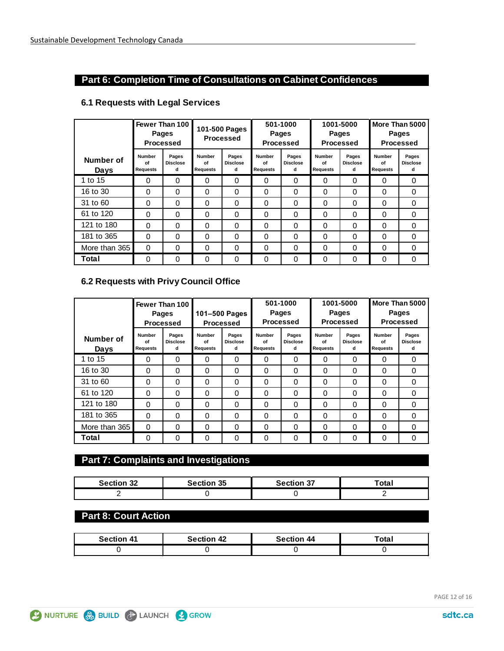#### **Part 6: Completion Time of Consultations on Cabinet Confidences**

#### **Number of Requests Pages Disclose d Number of Requests Pages Disclose d Number of Requests Pages Disclose d Number of Requests Pages Disclose d Number of Requests Pages Disclose d** 0 0 0 0 0 0 0 0 0 0 0 0 0 0 0 0 0 0 0 0 0 0 0 0 0 0 0 0 0 0 0 0 0 0 0 0 0 0 0 0 0 0 0 0 0 0 0 0 0 0 0 0 0 0 0 0 0 0 0 0 0 0 0 0 0 0 0 0 0 0 0 0 0 0 0 0 0 0 0 0 0 0 0 0 0 0 1 to 15 16 to 30 31 to 60 61 to 120 121 to 180 181 to 365 **Number of Days Fewer Than 100 Pages Processed 101-500 Pages Processed 501-1000 Pages Processed 1001-5000 Pages Processed More Than 5000 Pages Processed** More than 365 **Total**

#### **6.1 Requests with Legal Services**

#### **6.2 Requests with Privy Council Office**

|                   |                                        | Fewer Than 100<br><b>Pages</b><br><b>Processed</b> | 501-1000<br><b>Pages</b><br>101-500 Pages<br><b>Processed</b><br><b>Processed</b> |                               | 1001-5000<br><b>Pages</b><br><b>Processed</b> |                               | More Than 5000<br><b>Pages</b><br><b>Processed</b> |                               |                          |                               |
|-------------------|----------------------------------------|----------------------------------------------------|-----------------------------------------------------------------------------------|-------------------------------|-----------------------------------------------|-------------------------------|----------------------------------------------------|-------------------------------|--------------------------|-------------------------------|
| Number of<br>Days | <b>Number</b><br>Ωf<br><b>Requests</b> | Pages<br><b>Disclose</b><br>d                      | <b>Number</b><br>Ωf<br><b>Requests</b>                                            | Pages<br><b>Disclose</b><br>d | <b>Number</b><br>Ωf<br><b>Requests</b>        | Pages<br><b>Disclose</b><br>d | <b>Number</b><br>Ωf<br><b>Requests</b>             | Pages<br><b>Disclose</b><br>d | Number<br>of<br>Requests | Pages<br><b>Disclose</b><br>d |
| 1 to 15           | 0                                      | $\Omega$                                           | $\Omega$                                                                          | 0                             | $\Omega$                                      | $\Omega$                      | $\Omega$                                           | 0                             | $\Omega$                 | 0                             |
| 16 to 30          | $\Omega$                               | $\Omega$                                           | 0                                                                                 | 0                             | $\Omega$                                      | $\Omega$                      | $\Omega$                                           | 0                             | $\Omega$                 | 0                             |
| 31 to 60          | $\Omega$                               | $\Omega$                                           | 0                                                                                 | 0                             | $\Omega$                                      | $\Omega$                      | $\Omega$                                           | 0                             | $\Omega$                 | 0                             |
| 61 to 120         | $\Omega$                               | $\Omega$                                           | 0                                                                                 | 0                             | $\Omega$                                      | $\Omega$                      | $\Omega$                                           | 0                             | $\Omega$                 | $\Omega$                      |
| 121 to 180        | $\Omega$                               | $\Omega$                                           | 0                                                                                 | 0                             | $\Omega$                                      | 0                             | $\Omega$                                           | 0                             | $\Omega$                 | 0                             |
| 181 to 365        | $\Omega$                               | $\Omega$                                           | $\Omega$                                                                          | 0                             | $\Omega$                                      | $\Omega$                      | $\Omega$                                           | 0                             | $\Omega$                 | 0                             |
| More than 365     | $\Omega$                               | $\Omega$                                           | $\Omega$                                                                          | 0                             | $\Omega$                                      | $\Omega$                      | $\Omega$                                           | 0                             | $\Omega$                 | $\Omega$                      |
| Total             | 0                                      | $\Omega$                                           | $\Omega$                                                                          | 0                             | $\Omega$                                      | 0                             | $\Omega$                                           | 0                             | $\Omega$                 | 0                             |

#### **Part 7: Complaints and Investigations**

| <b>Section 32</b> | <b>Section 35</b> | Section 37 | ™ota. |
|-------------------|-------------------|------------|-------|
|                   |                   |            |       |

#### **Part 8: Court Action**

| Section 41 | <b>Section 42</b> | <b>Section 44</b> | 「⌒も⌒<br>υĭα |
|------------|-------------------|-------------------|-------------|
|            |                   |                   |             |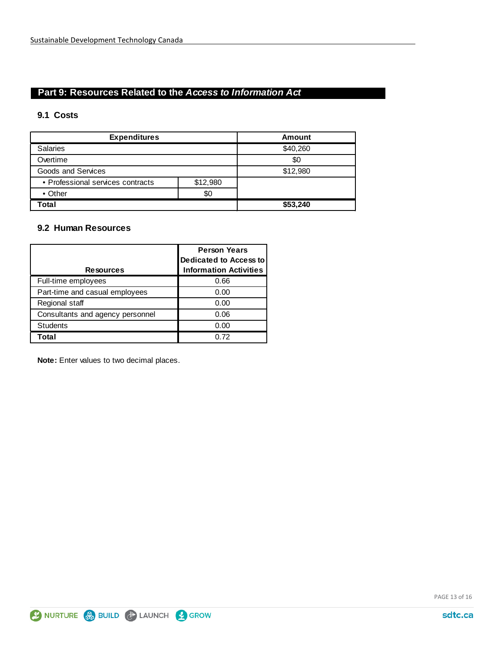### **Part 9: Resources Related to the** *Access to Information Act*

#### **9.1 Costs**

| <b>Expenditures</b>               |          | <b>Amount</b> |  |
|-----------------------------------|----------|---------------|--|
| <b>Salaries</b>                   |          | \$40,260      |  |
| Overtime                          |          | \$0           |  |
| Goods and Services                |          | \$12,980      |  |
| • Professional services contracts | \$12,980 |               |  |
| $\bullet$ Other                   | \$0      |               |  |
| Total                             |          | \$53,240      |  |

#### **9.2 Human Resources**

|                                  | <b>Person Years</b><br><b>Dedicated to Access to</b> |  |
|----------------------------------|------------------------------------------------------|--|
| <b>Resources</b>                 | <b>Information Activities</b>                        |  |
| Full-time employees              | 0.66                                                 |  |
| Part-time and casual employees   | 0.00                                                 |  |
| Regional staff                   | 0.00                                                 |  |
| Consultants and agency personnel | 0.06                                                 |  |
| <b>Students</b>                  | 0.00                                                 |  |
| Total                            | 0.72                                                 |  |

**Note:** Enter values to two decimal places.

PAGE 13 of 16

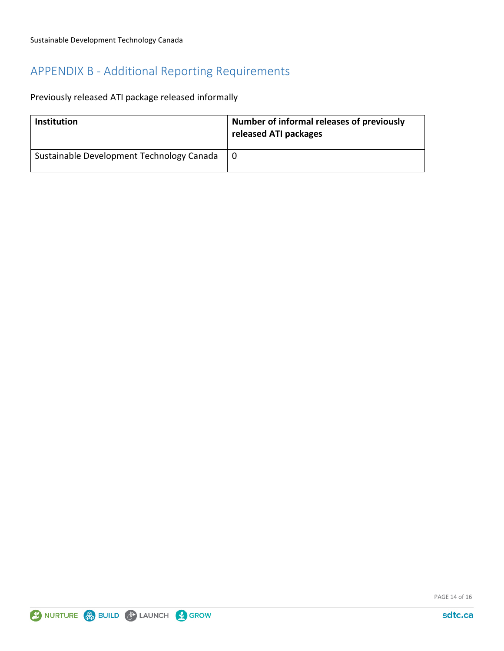# APPENDIX B - Additional Reporting Requirements

Previously released ATI package released informally

| <b>Institution</b>                        | Number of informal releases of previously<br>released ATI packages |
|-------------------------------------------|--------------------------------------------------------------------|
| Sustainable Development Technology Canada |                                                                    |

PAGE 14 of 16

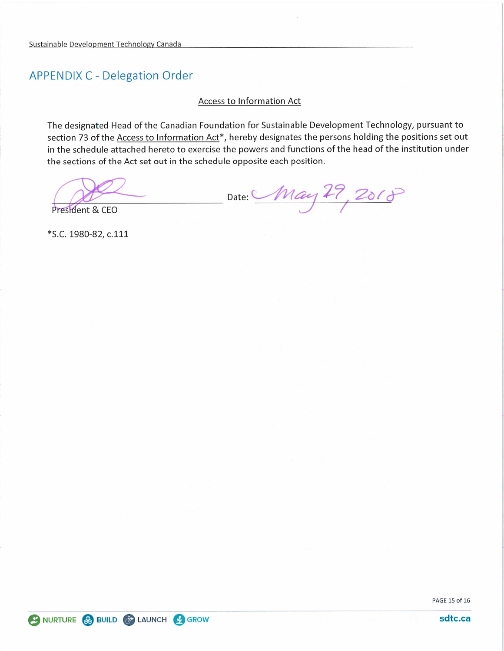# **APPENDIX C - Delegation Order**

#### Access to Information Act

The designated Head of the Canadian Foundation for Sustainable Development Technology, pursuant to section 73 of the Access to Information Act\*, hereby designates the persons holding the positions set out in the schedule attached hereto to exercise the powers and functions of the head of the institution under the sections of the Act set out in the schedule opposite each position.

Date: May 29, 2018

President & CEO

\*S.C. 1980-82, c.111